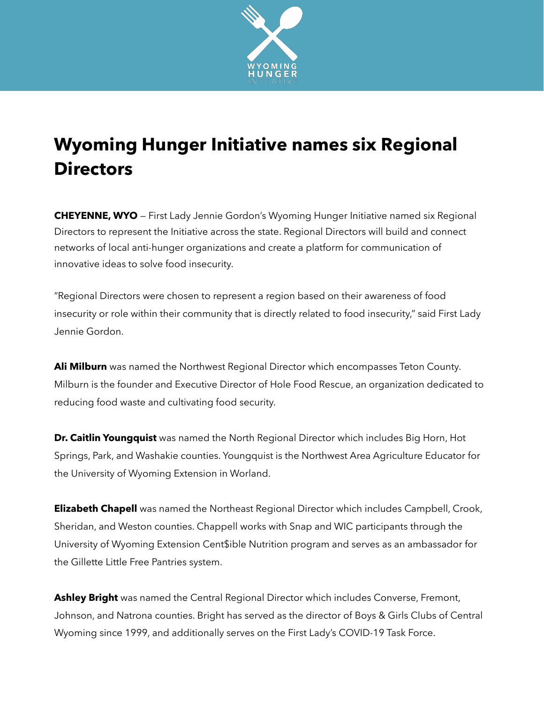

## **Wyoming Hunger Initiative names six Regional Directors**

**CHEYENNE, WYO** — First Lady Jennie Gordon's Wyoming Hunger Initiative named six Regional Directors to represent the Initiative across the state. Regional Directors will build and connect networks of local anti-hunger organizations and create a platform for communication of innovative ideas to solve food insecurity.

"Regional Directors were chosen to represent a region based on their awareness of food insecurity or role within their community that is directly related to food insecurity," said First Lady Jennie Gordon.

**Ali Milburn** was named the Northwest Regional Director which encompasses Teton County. Milburn is the founder and Executive Director of Hole Food Rescue, an organization dedicated to reducing food waste and cultivating food security.

**Dr. Caitlin Youngquist** was named the North Regional Director which includes Big Horn, Hot Springs, Park, and Washakie counties. Youngquist is the Northwest Area Agriculture Educator for the University of Wyoming Extension in Worland.

**Elizabeth Chapell** was named the Northeast Regional Director which includes Campbell, Crook, Sheridan, and Weston counties. Chappell works with Snap and WIC participants through the University of Wyoming Extension Cent\$ible Nutrition program and serves as an ambassador for the Gillette Little Free Pantries system.

**Ashley Bright** was named the Central Regional Director which includes Converse, Fremont, Johnson, and Natrona counties. Bright has served as the director of Boys & Girls Clubs of Central Wyoming since 1999, and additionally serves on the First Lady's COVID-19 Task Force.